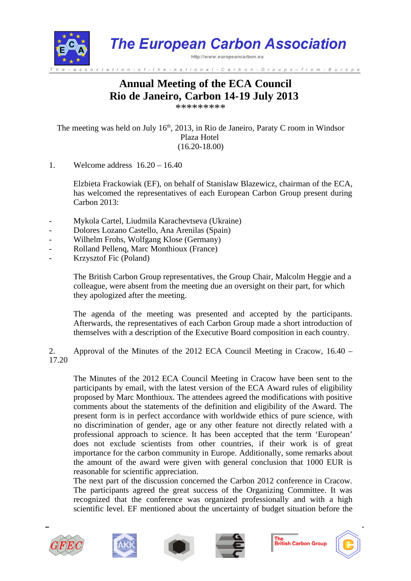

# **Annual Meeting of the ECA Council Rio de Janeiro, Carbon 14-19 July 2013**

\*\*\*\*\*\*\*\*\*

The meeting was held on July  $16<sup>th</sup>$ , 2013, in Rio de Janeiro, Paraty C room in Windsor Plaza Hotel (16.20-18.00)

1. Welcome address 16.20 – 16.40

Elzbieta Frackowiak (EF), on behalf of Stanislaw Blazewicz, chairman of the ECA, has welcomed the representatives of each European Carbon Group present during Carbon 2013:

- Mykola Cartel, Liudmila Karachevtseva (Ukraine)
- Dolores Lozano Castello, Ana Arenilas (Spain)
- Wilhelm Frohs, Wolfgang Klose (Germany)
- Rolland Pellenq, Marc Monthioux (France)
- Krzysztof Fic (Poland)

The British Carbon Group representatives, the Group Chair, Malcolm Heggie and a colleague, were absent from the meeting due an oversight on their part, for which they apologized after the meeting.

The agenda of the meeting was presented and accepted by the participants. Afterwards, the representatives of each Carbon Group made a short introduction of themselves with a description of the Executive Board composition in each country.

2. Approval of the Minutes of the 2012 ECA Council Meeting in Cracow, 16.40 – 17.20

The Minutes of the 2012 ECA Council Meeting in Cracow have been sent to the participants by email, with the latest version of the ECA Award rules of eligibility proposed by Marc Monthioux. The attendees agreed the modifications with positive comments about the statements of the definition and eligibility of the Award. The present form is in perfect accordance with worldwide ethics of pure science, with no discrimination of gender, age or any other feature not directly related with a professional approach to science. It has been accepted that the term 'European' does not exclude scientists from other countries, if their work is of great importance for the carbon community in Europe. Additionally, some remarks about the amount of the award were given with general conclusion that 1000 EUR is reasonable for scientific appreciation.

The next part of the discussion concerned the Carbon 2012 conference in Cracow. The participants agreed the great success of the Organizing Committee. It was recognized that the conference was organized professionally and with a high scientific level. EF mentioned about the uncertainty of budget situation before the









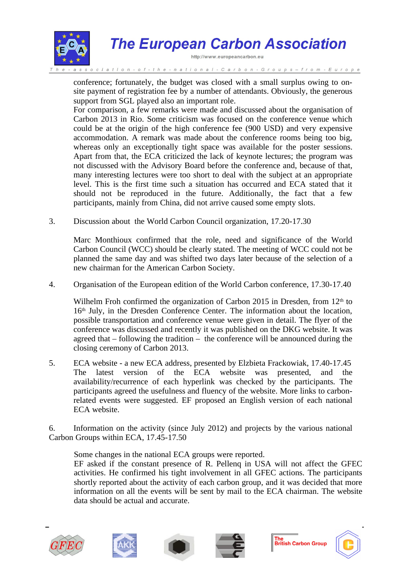

# **The European Carbon Association**

http://www.europeancarbon.eu

- national - Carbon - Groups – from - Europe

conference; fortunately, the budget was closed with a small surplus owing to onsite payment of registration fee by a number of attendants. Obviously, the generous support from SGL played also an important role.

For comparison, a few remarks were made and discussed about the organisation of Carbon 2013 in Rio. Some criticism was focused on the conference venue which could be at the origin of the high conference fee (900 USD) and very expensive accommodation. A remark was made about the conference rooms being too big, whereas only an exceptionally tight space was available for the poster sessions. Apart from that, the ECA criticized the lack of keynote lectures; the program was not discussed with the Advisory Board before the conference and, because of that, many interesting lectures were too short to deal with the subject at an appropriate level. This is the first time such a situation has occurred and ECA stated that it should not be reproduced in the future. Additionally, the fact that a few participants, mainly from China, did not arrive caused some empty slots.

3. Discussion about the World Carbon Council organization, 17.20-17.30

Marc Monthioux confirmed that the role, need and significance of the World Carbon Council (WCC) should be clearly stated. The meeting of WCC could not be planned the same day and was shifted two days later because of the selection of a new chairman for the American Carbon Society.

4. Organisation of the European edition of the World Carbon conference, 17.30-17.40

Wilhelm Froh confirmed the organization of Carbon 2015 in Dresden, from  $12<sup>th</sup>$  to 16th July, in the Dresden Conference Center. The information about the location, possible transportation and conference venue were given in detail. The flyer of the conference was discussed and recently it was published on the DKG website. It was agreed that – following the tradition – the conference will be announced during the closing ceremony of Carbon 2013.

5. ECA website - a new ECA address, presented by Elzbieta Frackowiak, 17.40-17.45 The latest version of the ECA website was presented, and the availability/recurrence of each hyperlink was checked by the participants. The participants agreed the usefulness and fluency of the website. More links to carbonrelated events were suggested. EF proposed an English version of each national ECA website.

6. Information on the activity (since July 2012) and projects by the various national Carbon Groups within ECA, 17.45-17.50

Some changes in the national ECA groups were reported.

EF asked if the constant presence of R. Pellenq in USA will not affect the GFEC activities. He confirmed his tight involvement in all GFEC actions. The participants shortly reported about the activity of each carbon group, and it was decided that more information on all the events will be sent by mail to the ECA chairman. The website data should be actual and accurate.









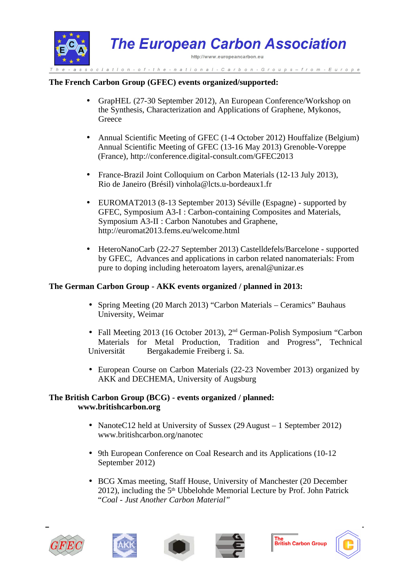

#### **The French Carbon Group (GFEC) events organized/supported:**

- GrapHEL (27-30 September 2012), An European Conference/Workshop on the Synthesis, Characterization and Applications of Graphene, Mykonos, Greece
- Annual Scientific Meeting of GFEC (1-4 October 2012) Houffalize (Belgium) Annual Scientific Meeting of GFEC (13-16 May 2013) Grenoble-Voreppe (France), http://conference.digital-consult.com/GFEC2013
- France-Brazil Joint Colloquium on Carbon Materials (12-13 July 2013), Rio de Janeiro (Brésil) vinhola@lcts.u-bordeaux1.fr
- EUROMAT2013 (8-13 September 2013) Séville (Espagne) supported by GFEC, Symposium A3-I : Carbon-containing Composites and Materials, Symposium A3-II : Carbon Nanotubes and Graphene, http://euromat2013.fems.eu/welcome.html
- HeteroNanoCarb (22-27 September 2013) Castelldefels/Barcelone supported by GFEC, Advances and applications in carbon related nanomaterials: From pure to doping including heteroatom layers, arenal@unizar.es

#### **The German Carbon Group - AKK events organized / planned in 2013:**

- Spring Meeting (20 March 2013) "Carbon Materials Ceramics" Bauhaus University, Weimar
- Fall Meeting 2013 (16 October 2013), 2<sup>nd</sup> German-Polish Symposium "Carbon Materials for Metal Production, Tradition and Progress", Technical Universität Bergakademie Freiberg i. Sa.
- European Course on Carbon Materials (22-23 November 2013) organized by AKK and DECHEMA, University of Augsburg

#### **The British Carbon Group (BCG) - events organized / planned: www.britishcarbon.org**

- NanoteC12 held at University of Sussex (29 August 1 September 2012) www.britishcarbon.org/nanotec
- 9th European Conference on Coal Research and its Applications (10-12) September 2012)
- BCG Xmas meeting, Staff House, University of Manchester (20 December 2012), including the  $5<sup>th</sup>$  Ubbelohde Memorial Lecture by Prof. John Patrick "*Coal - Just Another Carbon Material"*











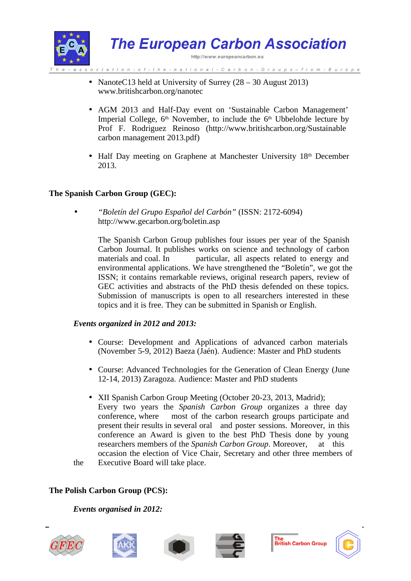

- NanoteC13 held at University of Surrey (28 30 August 2013) www.britishcarbon.org/nanotec
- AGM 2013 and Half-Day event on 'Sustainable Carbon Management' Imperial College,  $6<sup>th</sup>$  November, to include the  $6<sup>th</sup>$  Ubbelohde lecture by Prof F. Rodriguez Reinoso (http://www.britishcarbon.org/Sustainable carbon management 2013.pdf)
- Half Day meeting on Graphene at Manchester University 18<sup>th</sup> December 2013.

# **The Spanish Carbon Group (GEC):**

• *"Boletín del Grupo Español del Carbón"* (ISSN: 2172-6094) http://www.gecarbon.org/boletin.asp

> The Spanish Carbon Group publishes four issues per year of the Spanish Carbon Journal. It publishes works on science and technology of carbon materials and coal. In particular, all aspects related to energy and environmental applications. We have strengthened the "Boletín", we got the ISSN; it contains remarkable reviews, original research papers, review of GEC activities and abstracts of the PhD thesis defended on these topics. Submission of manuscripts is open to all researchers interested in these topics and it is free. They can be submitted in Spanish or English.

#### *Events organized in 2012 and 2013:*

- Course: Development and Applications of advanced carbon materials (November 5-9, 2012) Baeza (Jaén). Audience: Master and PhD students
- Course: Advanced Technologies for the Generation of Clean Energy (June 12-14, 2013) Zaragoza. Audience: Master and PhD students
- XII Spanish Carbon Group Meeting (October 20-23, 2013, Madrid); Every two years the *Spanish Carbon Group* organizes a three day conference, where most of the carbon research groups participate and present their results in several oral and poster sessions. Moreover, in this conference an Award is given to the best PhD Thesis done by young researchers members of the *Spanish Carbon Group*. Moreover, at this occasion the election of Vice Chair, Secretary and other three members of the Executive Board will take place.

# **The Polish Carbon Group (PCS):**

*Events organised in 2012:*











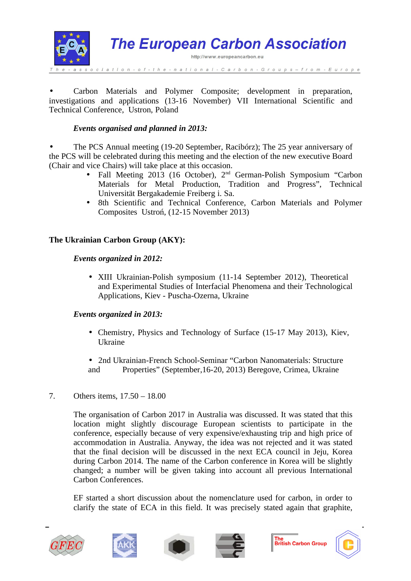

• Carbon Materials and Polymer Composite; development in preparation, investigations and applications (13-16 November) VII International Scientific and Technical Conference, Ustron, Poland

# *Events organised and planned in 2013:*

• The PCS Annual meeting (19-20 September, Racibórz); The 25 year anniversary of the PCS will be celebrated during this meeting and the election of the new executive Board (Chair and vice Chairs) will take place at this occasion.

- Fall Meeting 2013 (16 October), 2<sup>nd</sup> German-Polish Symposium "Carbon Materials for Metal Production, Tradition and Progress", Technical Universität Bergakademie Freiberg i. Sa.
- 8th Scientific and Technical Conference, Carbon Materials and Polymer Composites Ustroń, (12-15 November 2013)

# **The Ukrainian Carbon Group (AKY):**

#### *Events organized in 2012:*

• XIII Ukrainian-Polish symposium (11-14 September 2012), Theoretical and Experimental Studies of Interfacial Phenomena and their Technological Applications, Kiev - Puscha-Ozerna, Ukraine

# *Events organized in 2013:*

- Chemistry, Physics and Technology of Surface (15-17 May 2013), Kiev, Ukraine
- 2nd Ukrainian-French School-Seminar "Carbon Nanomaterials: Structure and Properties" (September,16-20, 2013) Beregove, Crimea, Ukraine

# 7. Others items, 17.50 – 18.00

The organisation of Carbon 2017 in Australia was discussed. It was stated that this location might slightly discourage European scientists to participate in the conference, especially because of very expensive/exhausting trip and high price of accommodation in Australia. Anyway, the idea was not rejected and it was stated that the final decision will be discussed in the next ECA council in Jeju, Korea during Carbon 2014. The name of the Carbon conference in Korea will be slightly changed; a number will be given taking into account all previous International Carbon Conferences.

EF started a short discussion about the nomenclature used for carbon, in order to clarify the state of ECA in this field. It was precisely stated again that graphite,